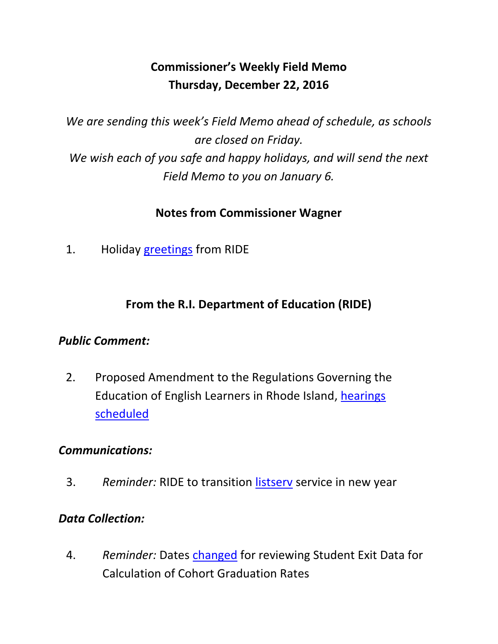# **Commissioner's Weekly Field Memo Thursday, December 22, 2016**

*We are sending this week's Field Memo ahead of schedule, as schools are closed on Friday. We wish each of you safe and happy holidays, and will send the next Field Memo to you on January 6.*

### **Notes from Commissioner Wagner**

1. Holiday [greetings](#page-2-0) from RIDE

## **From the R.I. Department of Education (RIDE)**

### *Public Comment:*

2. Proposed Amendment to the Regulations Governing the Education of English Learners in Rhode Island, [hearings](#page-3-0)  [scheduled](#page-3-0)

### *Communications:*

3. *Reminder:* RIDE to transition [listserv](#page-6-0) service in new year

#### *Data Collection:*

4. *Reminder:* Dates [changed](#page-7-0) for reviewing Student Exit Data for Calculation of Cohort Graduation Rates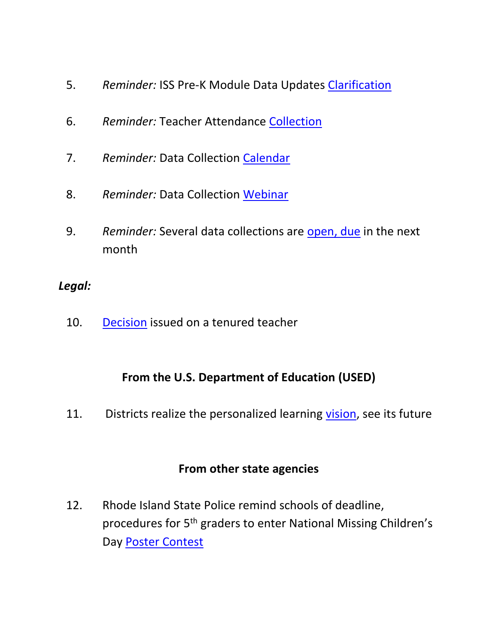- 5. *Reminder:* ISS Pre-K Module Data Updates [Clarification](#page-7-1)
- 6. *Reminder:* Teacher Attendance [Collection](#page-8-0)
- 7. *Reminder:* Data Collection [Calendar](#page-8-1)
- 8. *Reminder:* Data Collection [Webinar](#page-8-2)
- 9. *Reminder:* Several data collections are [open, due](#page-9-0) in the next month

#### *Legal:*

10. [Decision](#page-9-1) issued on a tenured teacher

### **From the U.S. Department of Education (USED)**

11. Districts realize the personalized learning [vision,](#page-10-0) see its future

### **From other state agencies**

12. Rhode Island State Police remind schools of deadline, procedures for 5th graders to enter National Missing Children's Day [Poster Contest](#page-11-0)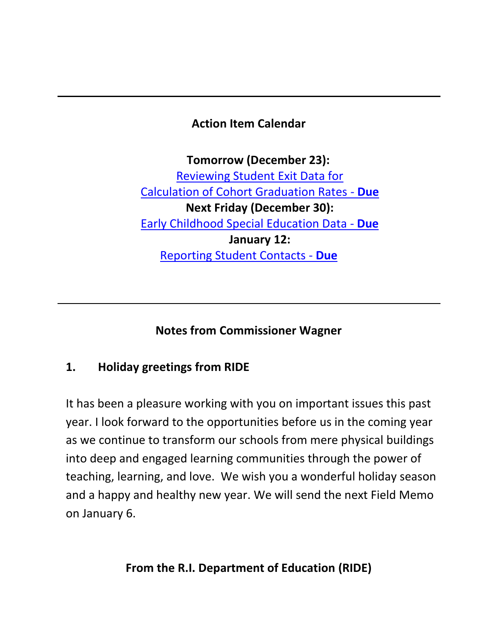## **Action Item Calendar**

**Tomorrow (December 23):** [Reviewing Student Exit Data for](https://www.eride.ri.gov/eRide40/DataDictionary/ViewDetails.aspx?ID=356)  [Calculation of Cohort Graduation Rates -](https://www.eride.ri.gov/eRide40/DataDictionary/ViewDetails.aspx?ID=356) **Due Next Friday (December 30):**  [Early Childhood Special Education Data -](https://www.eride.ri.gov/eRide40/DataDictionary/ViewDetails.aspx?ID=363) **Due January 12:**  [Reporting Student Contacts -](https://www.eride.ri.gov/eRide40/DataDictionary/ViewDetails.aspx?ID=342) **Due**

**Notes from Commissioner Wagner**

## <span id="page-2-0"></span>**1. Holiday greetings from RIDE**

It has been a pleasure working with you on important issues this past year. I look forward to the opportunities before us in the coming year as we continue to transform our schools from mere physical buildings into deep and engaged learning communities through the power of teaching, learning, and love. We wish you a wonderful holiday season and a happy and healthy new year. We will send the next Field Memo on January 6.

**From the R.I. Department of Education (RIDE)**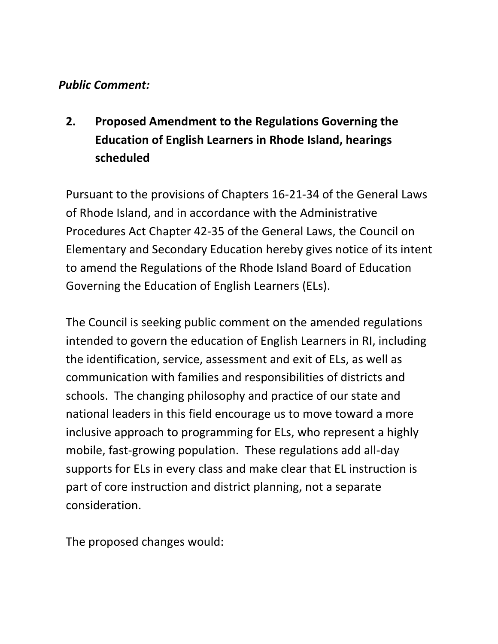### *Public Comment:*

# <span id="page-3-0"></span>**2. Proposed Amendment to the Regulations Governing the Education of English Learners in Rhode Island, hearings scheduled**

Pursuant to the provisions of Chapters 16-21-34 of the General Laws of Rhode Island, and in accordance with the Administrative Procedures Act Chapter 42-35 of the General Laws, the Council on Elementary and Secondary Education hereby gives notice of its intent to amend the Regulations of the Rhode Island Board of Education Governing the Education of English Learners (ELs).

The Council is seeking public comment on the amended regulations intended to govern the education of English Learners in RI, including the identification, service, assessment and exit of ELs, as well as communication with families and responsibilities of districts and schools. The changing philosophy and practice of our state and national leaders in this field encourage us to move toward a more inclusive approach to programming for ELs, who represent a highly mobile, fast-growing population. These regulations add all-day supports for ELs in every class and make clear that EL instruction is part of core instruction and district planning, not a separate consideration.

The proposed changes would: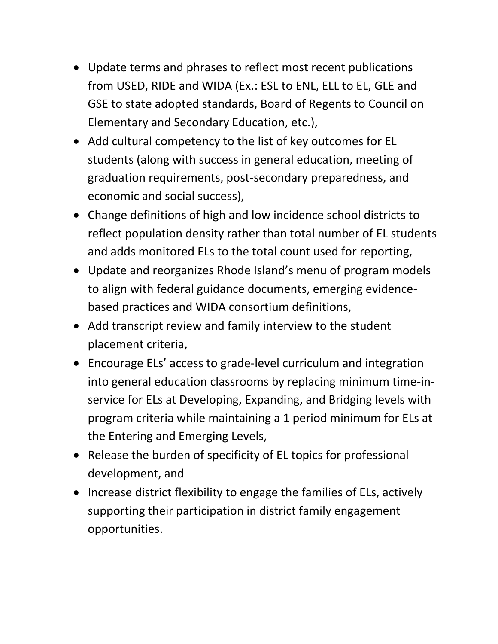- Update terms and phrases to reflect most recent publications from USED, RIDE and WIDA (Ex.: ESL to ENL, ELL to EL, GLE and GSE to state adopted standards, Board of Regents to Council on Elementary and Secondary Education, etc.),
- Add cultural competency to the list of key outcomes for EL students (along with success in general education, meeting of graduation requirements, post-secondary preparedness, and economic and social success),
- Change definitions of high and low incidence school districts to reflect population density rather than total number of EL students and adds monitored ELs to the total count used for reporting,
- Update and reorganizes Rhode Island's menu of program models to align with federal guidance documents, emerging evidencebased practices and WIDA consortium definitions,
- Add transcript review and family interview to the student placement criteria,
- Encourage ELs' access to grade-level curriculum and integration into general education classrooms by replacing minimum time-inservice for ELs at Developing, Expanding, and Bridging levels with program criteria while maintaining a 1 period minimum for ELs at the Entering and Emerging Levels,
- Release the burden of specificity of EL topics for professional development, and
- Increase district flexibility to engage the families of ELs, actively supporting their participation in district family engagement opportunities.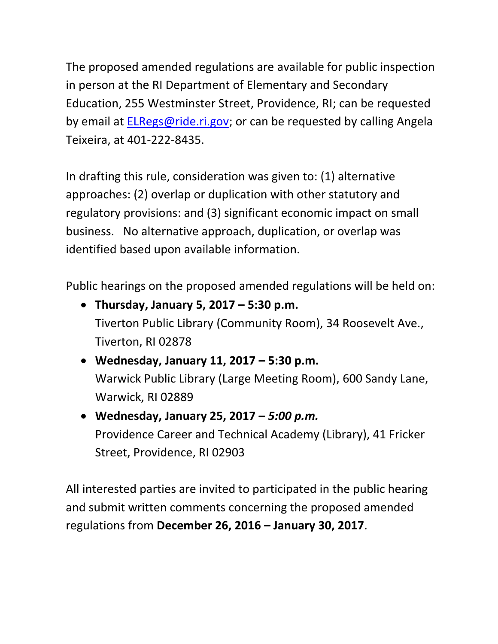The proposed amended regulations are available for public inspection in person at the RI Department of Elementary and Secondary Education, 255 Westminster Street, Providence, RI; can be requested by email at [ELRegs@ride.ri.gov;](mailto:ELRegs@ride.ri.gov) or can be requested by calling Angela Teixeira, at 401-222-8435.

In drafting this rule, consideration was given to: (1) alternative approaches: (2) overlap or duplication with other statutory and regulatory provisions: and (3) significant economic impact on small business. No alternative approach, duplication, or overlap was identified based upon available information.

Public hearings on the proposed amended regulations will be held on:

- **Thursday, January 5, 2017 – 5:30 p.m.** Tiverton Public Library (Community Room), 34 Roosevelt Ave., Tiverton, RI 02878
- **Wednesday, January 11, 2017 – 5:30 p.m.** Warwick Public Library (Large Meeting Room), 600 Sandy Lane, Warwick, RI 02889
- **Wednesday, January 25, 2017 –** *5:00 p.m.* Providence Career and Technical Academy (Library), 41 Fricker Street, Providence, RI 02903

All interested parties are invited to participated in the public hearing and submit written comments concerning the proposed amended regulations from **December 26, 2016 – January 30, 2017**.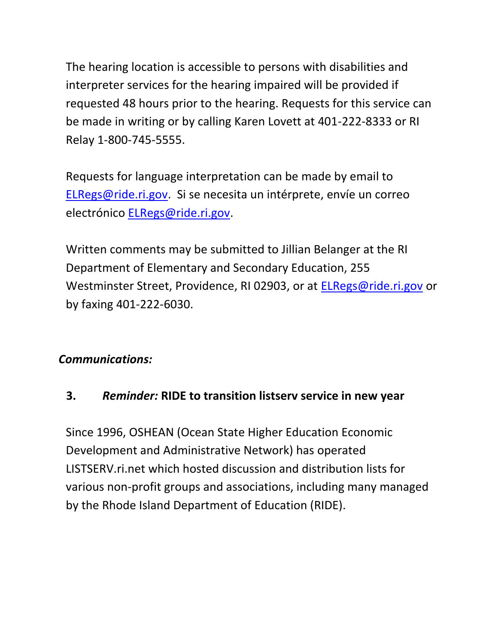The hearing location is accessible to persons with disabilities and interpreter services for the hearing impaired will be provided if requested 48 hours prior to the hearing. Requests for this service can be made in writing or by calling Karen Lovett at 401-222-8333 or RI Relay 1-800-745-5555.

Requests for language interpretation can be made by email to [ELRegs@ride.ri.gov.](mailto:ELRegs@ride.ri.gov) Si se necesita un intérprete, envíe un correo electrónico [ELRegs@ride.ri.gov.](mailto:ELRegs@ride.ri.gov)

Written comments may be submitted to Jillian Belanger at the RI Department of Elementary and Secondary Education, 255 Westminster Street, Providence, RI 02903, or at [ELRegs@ride.ri.gov](mailto:ELRegs@ride.ri.gov) or by faxing 401-222-6030.

### *Communications:*

### <span id="page-6-0"></span>**3.** *Reminder:* **RIDE to transition listserv service in new year**

Since 1996, OSHEAN (Ocean State Higher Education Economic Development and Administrative Network) has operated LISTSERV.ri.net which hosted discussion and distribution lists for various non-profit groups and associations, including many managed by the Rhode Island Department of Education (RIDE).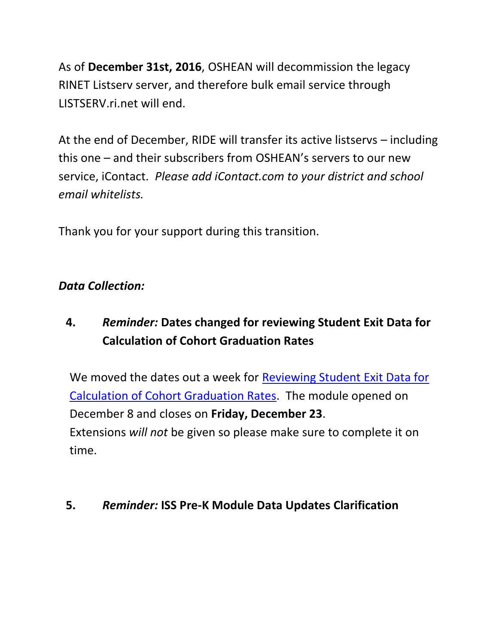As of **December 31st, 2016**, OSHEAN will decommission the legacy RINET Listserv server, and therefore bulk email service through LISTSERV.ri.net will end.

At the end of December, RIDE will transfer its active listservs – including this one – and their subscribers from OSHEAN's servers to our new service, iContact. *Please add iContact.com to your district and school email whitelists.*

Thank you for your support during this transition.

### *Data Collection:*

# <span id="page-7-0"></span>**4.** *Reminder:* **Dates changed for reviewing Student Exit Data for Calculation of Cohort Graduation Rates**

We moved the dates out a week for Reviewing Student Exit Data for [Calculation of Cohort Graduation Rates.](https://www.eride.ri.gov/eRide40/DataDictionary/ViewDetails.aspx?ID=356) The module opened on December 8 and closes on **Friday, December 23**. Extensions *will not* be given so please make sure to complete it on time.

#### <span id="page-7-1"></span>**5.** *Reminder:* **ISS Pre-K Module Data Updates Clarification**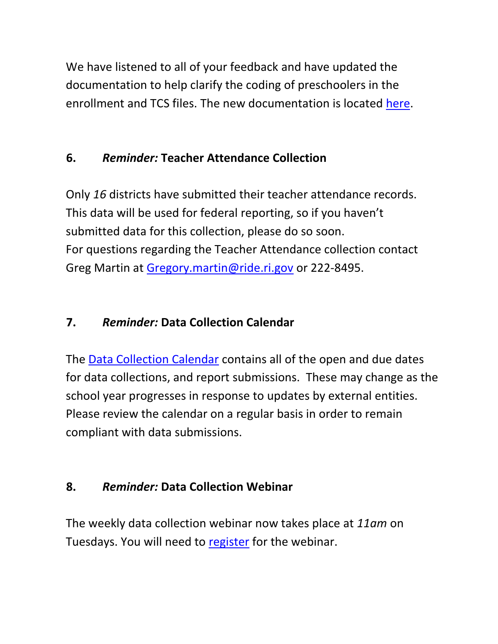We have listened to all of your feedback and have updated the documentation to help clarify the coding of preschoolers in the enrollment and TCS files. The new documentation is located [here.](http://www.ride.ri.gov/Portals/0/Uploads/Documents/PK_TCS_Setup_v3.7.2.pdf)

## <span id="page-8-0"></span>**6.** *Reminder:* **Teacher Attendance Collection**

Only *16* districts have submitted their teacher attendance records. This data will be used for federal reporting, so if you haven't submitted data for this collection, please do so soon. For questions regarding the Teacher Attendance collection contact Greg Martin at [Gregory.martin@ride.ri.gov](mailto:Gregory.martin@ride.ri.gov) or 222-8495.

## <span id="page-8-1"></span>**7.** *Reminder:* **Data Collection Calendar**

The [Data Collection Calendar](https://www.eride.ri.gov/eRide40/DataDictionary/Calendar.aspx) contains all of the open and due dates for data collections, and report submissions. These may change as the school year progresses in response to updates by external entities. Please review the calendar on a regular basis in order to remain compliant with data submissions.

## <span id="page-8-2"></span>**8.** *Reminder:* **Data Collection Webinar**

The weekly data collection webinar now takes place at *11am* on Tuesdays. You will need to [register](https://attendee.gotowebinar.com/register/7717991463351728385) for the webinar.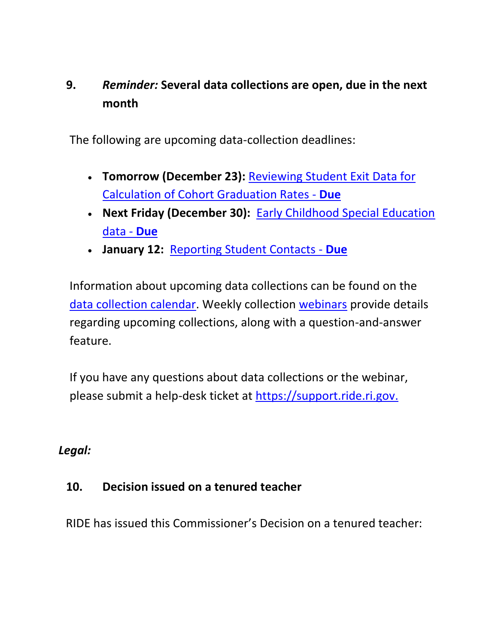## <span id="page-9-0"></span>**9.** *Reminder:* **Several data collections are open, due in the next month**

The following are upcoming data-collection deadlines:

- **Tomorrow (December 23):** [Reviewing Student Exit Data for](https://www.eride.ri.gov/eRide40/DataDictionary/ViewDetails.aspx?ID=356)  [Calculation of Cohort Graduation Rates -](https://www.eride.ri.gov/eRide40/DataDictionary/ViewDetails.aspx?ID=356) **Due**
- **Next Friday (December 30):** [Early Childhood Special Education](https://www.eride.ri.gov/eRide40/DataDictionary/ViewDetails.aspx?ID=363)  [data -](https://www.eride.ri.gov/eRide40/DataDictionary/ViewDetails.aspx?ID=363) **Due**
- **January 12:** [Reporting Student Contacts -](https://www.eride.ri.gov/eRide40/DataDictionary/ViewDetails.aspx?ID=342) **Due**

Information about upcoming data collections can be found on the [data collection calendar.](https://www.eride.ri.gov/eRide40/DataDictionary/Calendar.aspx) Weekly collection [webinars](https://attendee.gotowebinar.com/register/7717991463351728385) provide details regarding upcoming collections, along with a question-and-answer feature.

If you have any questions about data collections or the webinar, please submit a help-desk ticket at [https://support.ride.ri.gov.](https://support.ride.ri.gov/)

### *Legal:*

### <span id="page-9-1"></span>**10. Decision issued on a tenured teacher**

RIDE has issued this Commissioner's Decision on a tenured teacher: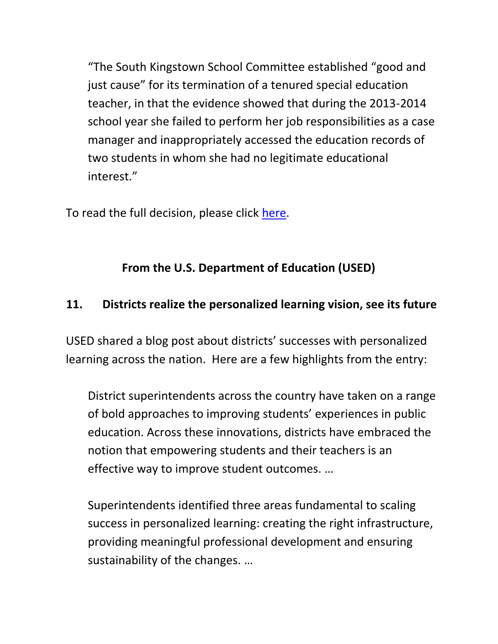"The South Kingstown School Committee established "good and just cause" for its termination of a tenured special education teacher, in that the evidence showed that during the 2013-2014 school year she failed to perform her job responsibilities as a case manager and inappropriately accessed the education records of two students in whom she had no legitimate educational interest."

To read the full decision, please click [here.](http://www2.ride.ri.gov/applications/RideDirectory/DOCS/2016/025-16_Salvatore_v._South_Kingstown_School_District_121416.pdf)

## **From the U.S. Department of Education (USED)**

### <span id="page-10-0"></span>**11. Districts realize the personalized learning vision, see its future**

USED shared a blog post about districts' successes with personalized learning across the nation. Here are a few highlights from the entry:

District superintendents across the country have taken on a range of bold approaches to improving students' experiences in public education. Across these innovations, districts have embraced the notion that empowering students and their teachers is an effective way to improve student outcomes. …

Superintendents identified three areas fundamental to scaling success in personalized learning: creating the right infrastructure, providing meaningful professional development and ensuring sustainability of the changes. …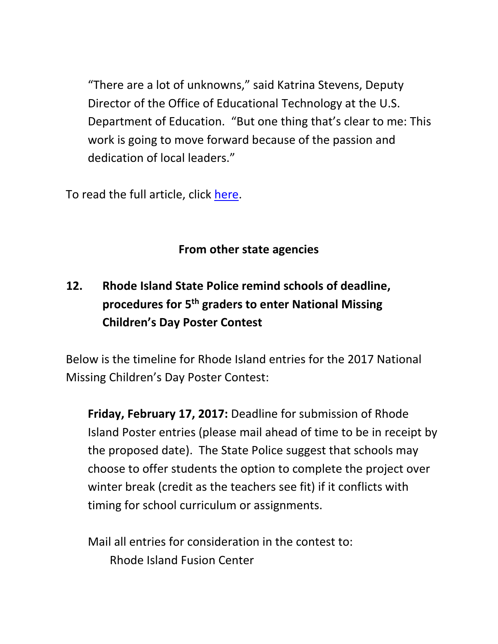"There are a lot of unknowns," said Katrina Stevens, Deputy Director of the Office of Educational Technology at the U.S. Department of Education. "But one thing that's clear to me: This work is going to move forward because of the passion and dedication of local leaders."

To read the full article, click [here.](http://blog.ed.gov/2016/12/districts-realize-the-personalized-learning-vision-see-its-future/)

## **From other state agencies**

# <span id="page-11-0"></span>**12. Rhode Island State Police remind schools of deadline, procedures for 5th graders to enter National Missing Children's Day Poster Contest**

Below is the timeline for Rhode Island entries for the 2017 National Missing Children's Day Poster Contest:

**Friday, February 17, 2017:** Deadline for submission of Rhode Island Poster entries (please mail ahead of time to be in receipt by the proposed date). The State Police suggest that schools may choose to offer students the option to complete the project over winter break (credit as the teachers see fit) if it conflicts with timing for school curriculum or assignments.

Mail all entries for consideration in the contest to: Rhode Island Fusion Center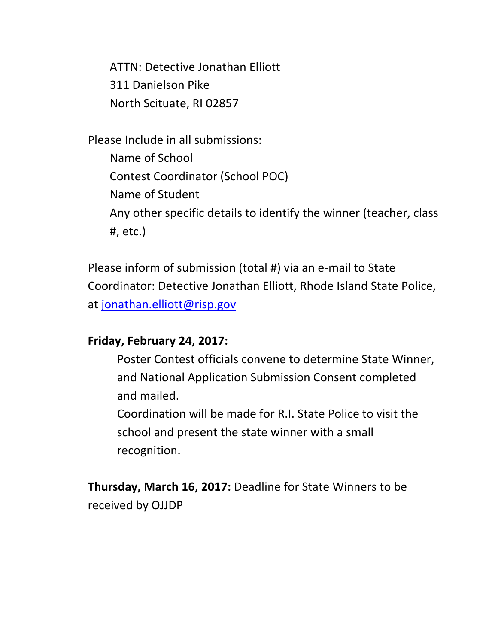ATTN: Detective Jonathan Elliott 311 Danielson Pike North Scituate, RI 02857

Please Include in all submissions: Name of School Contest Coordinator (School POC) Name of Student Any other specific details to identify the winner (teacher, class #, etc.)

Please inform of submission (total #) via an e-mail to State Coordinator: Detective Jonathan Elliott, Rhode Island State Police, at [jonathan.elliott@risp.gov](mailto:jonathan.elliott@risp.gov)

#### **Friday, February 24, 2017:**

Poster Contest officials convene to determine State Winner, and National Application Submission Consent completed and mailed.

Coordination will be made for R.I. State Police to visit the school and present the state winner with a small recognition.

**Thursday, March 16, 2017:** Deadline for State Winners to be received by OJJDP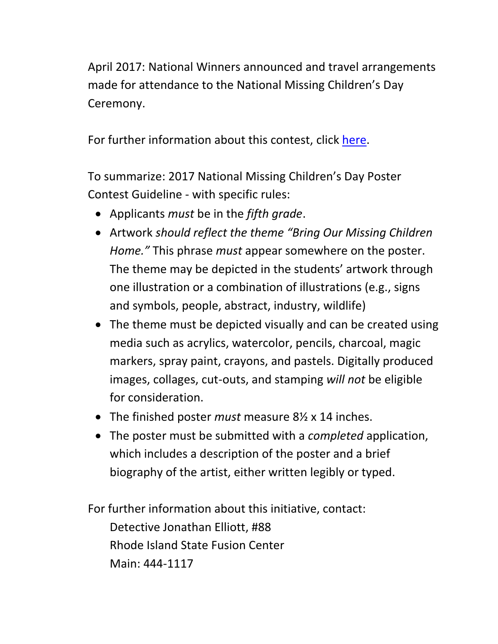April 2017: National Winners announced and travel arrangements made for attendance to the National Missing Children's Day Ceremony.

For further information about this contest, click [here.](http://mecptraining.org/educate/national-missing-childrens-day/poster-contest-resources/)

To summarize: 2017 National Missing Children's Day Poster Contest Guideline - with specific rules:

- Applicants *must* be in the *fifth grade*.
- Artwork *should reflect the theme "Bring Our Missing Children Home."* This phrase *must* appear somewhere on the poster. The theme may be depicted in the students' artwork through one illustration or a combination of illustrations (e.g., signs and symbols, people, abstract, industry, wildlife)
- The theme must be depicted visually and can be created using media such as acrylics, watercolor, pencils, charcoal, magic markers, spray paint, crayons, and pastels. Digitally produced images, collages, cut-outs, and stamping *will not* be eligible for consideration.
- The finished poster *must* measure 8½ x 14 inches.
- The poster must be submitted with a *completed* application, which includes a description of the poster and a brief biography of the artist, either written legibly or typed.

For further information about this initiative, contact: Detective Jonathan Elliott, #88 Rhode Island State Fusion Center Main: 444-1117